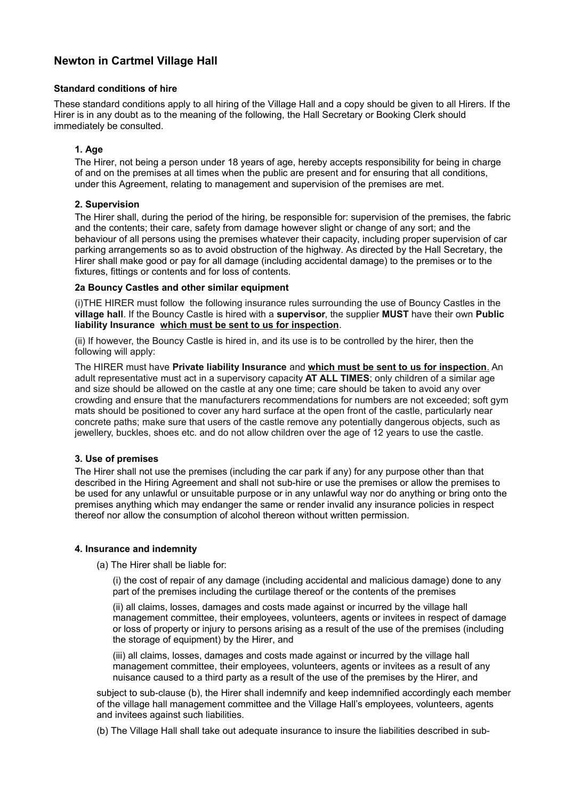## **Standard conditions of hire**

These standard conditions apply to all hiring of the Village Hall and a copy should be given to all Hirers. If the Hirer is in any doubt as to the meaning of the following, the Hall Secretary or Booking Clerk should immediately be consulted.

# **1. Age**

The Hirer, not being a person under 18 years of age, hereby accepts responsibility for being in charge of and on the premises at all times when the public are present and for ensuring that all conditions, under this Agreement, relating to management and supervision of the premises are met.

## **2. Supervision**

The Hirer shall, during the period of the hiring, be responsible for: supervision of the premises, the fabric and the contents; their care, safety from damage however slight or change of any sort; and the behaviour of all persons using the premises whatever their capacity, including proper supervision of car parking arrangements so as to avoid obstruction of the highway. As directed by the Hall Secretary, the Hirer shall make good or pay for all damage (including accidental damage) to the premises or to the fixtures, fittings or contents and for loss of contents.

## **2a Bouncy Castles and other similar equipment**

(i)THE HIRER must follow the following insurance rules surrounding the use of Bouncy Castles in the **village hall**. If the Bouncy Castle is hired with a **supervisor**, the supplier **MUST** have their own **Public liability Insurance which must be sent to us for inspection**.

(ii) If however, the Bouncy Castle is hired in, and its use is to be controlled by the hirer, then the following will apply:

The HIRER must have **Private liability Insurance** and **which must be sent to us for inspection**. An adult representative must act in a supervisory capacity **AT ALL TIMES**; only children of a similar age and size should be allowed on the castle at any one time; care should be taken to avoid any over crowding and ensure that the manufacturers recommendations for numbers are not exceeded; soft gym mats should be positioned to cover any hard surface at the open front of the castle, particularly near concrete paths; make sure that users of the castle remove any potentially dangerous objects, such as jewellery, buckles, shoes etc. and do not allow children over the age of 12 years to use the castle.

#### **3. Use of premises**

The Hirer shall not use the premises (including the car park if any) for any purpose other than that described in the Hiring Agreement and shall not sub-hire or use the premises or allow the premises to be used for any unlawful or unsuitable purpose or in any unlawful way nor do anything or bring onto the premises anything which may endanger the same or render invalid any insurance policies in respect thereof nor allow the consumption of alcohol thereon without written permission.

# **4. Insurance and indemnity**

(a) The Hirer shall be liable for:

(i) the cost of repair of any damage (including accidental and malicious damage) done to any part of the premises including the curtilage thereof or the contents of the premises

(ii) all claims, losses, damages and costs made against or incurred by the village hall management committee, their employees, volunteers, agents or invitees in respect of damage or loss of property or injury to persons arising as a result of the use of the premises (including the storage of equipment) by the Hirer, and

(iii) all claims, losses, damages and costs made against or incurred by the village hall management committee, their employees, volunteers, agents or invitees as a result of any nuisance caused to a third party as a result of the use of the premises by the Hirer, and

subject to sub-clause (b), the Hirer shall indemnify and keep indemnified accordingly each member of the village hall management committee and the Village Hall's employees, volunteers, agents and invitees against such liabilities.

(b) The Village Hall shall take out adequate insurance to insure the liabilities described in sub-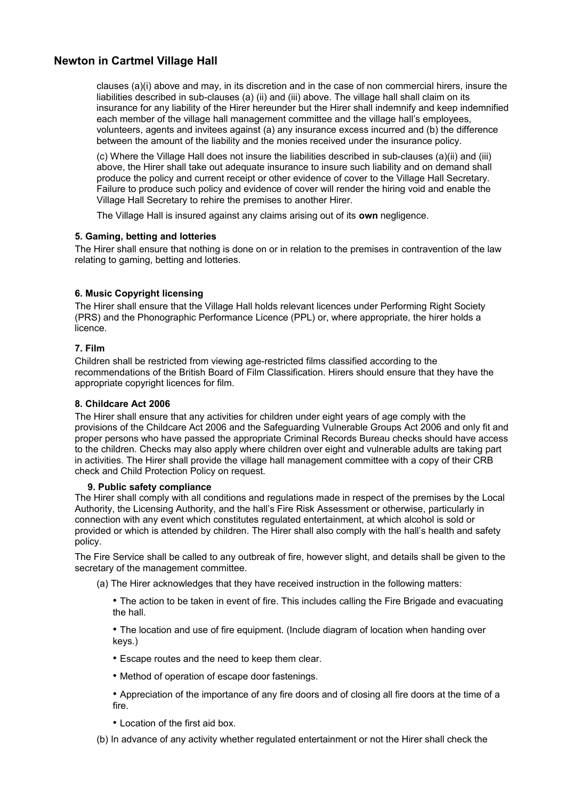clauses (a)(i) above and may, in its discretion and in the case of non commercial hirers, insure the liabilities described in sub-clauses (a) (ii) and (iii) above. The village hall shall claim on its insurance for any liability of the Hirer hereunder but the Hirer shall indemnify and keep indemnified each member of the village hall management committee and the village hall's employees, volunteers, agents and invitees against (a) any insurance excess incurred and (b) the difference between the amount of the liability and the monies received under the insurance policy.

(c) Where the Village Hall does not insure the liabilities described in sub-clauses (a)(ii) and (iii) above, the Hirer shall take out adequate insurance to insure such liability and on demand shall produce the policy and current receipt or other evidence of cover to the Village Hall Secretary. Failure to produce such policy and evidence of cover will render the hiring void and enable the Village Hall Secretary to rehire the premises to another Hirer.

The Village Hall is insured against any claims arising out of its **own** negligence.

# **5. Gaming, betting and lotteries**

The Hirer shall ensure that nothing is done on or in relation to the premises in contravention of the law relating to gaming, betting and lotteries.

# **6. Music Copyright licensing**

The Hirer shall ensure that the Village Hall holds relevant licences under Performing Right Society (PRS) and the Phonographic Performance Licence (PPL) or, where appropriate, the hirer holds a licence.

# **7. Film**

Children shall be restricted from viewing age-restricted films classified according to the recommendations of the British Board of Film Classification. Hirers should ensure that they have the appropriate copyright licences for film.

#### **8. Childcare Act 2006**

The Hirer shall ensure that any activities for children under eight years of age comply with the provisions of the Childcare Act 2006 and the Safeguarding Vulnerable Groups Act 2006 and only fit and proper persons who have passed the appropriate Criminal Records Bureau checks should have access to the children. Checks may also apply where children over eight and vulnerable adults are taking part in activities. The Hirer shall provide the village hall management committee with a copy of their CRB check and Child Protection Policy on request.

#### **9. Public safety compliance**

The Hirer shall comply with all conditions and regulations made in respect of the premises by the Local Authority, the Licensing Authority, and the hall's Fire Risk Assessment or otherwise, particularly in connection with any event which constitutes regulated entertainment, at which alcohol is sold or provided or which is attended by children. The Hirer shall also comply with the hall's health and safety policy.

The Fire Service shall be called to any outbreak of fire, however slight, and details shall be given to the secretary of the management committee.

- (a) The Hirer acknowledges that they have received instruction in the following matters:
	- The action to be taken in event of fire. This includes calling the Fire Brigade and evacuating the hall.

• The location and use of fire equipment. (Include diagram of location when handing over keys.)

- Escape routes and the need to keep them clear.
- Method of operation of escape door fastenings.
- Appreciation of the importance of any fire doors and of closing all fire doors at the time of a fire.
- Location of the first aid box.
- (b) In advance of any activity whether regulated entertainment or not the Hirer shall check the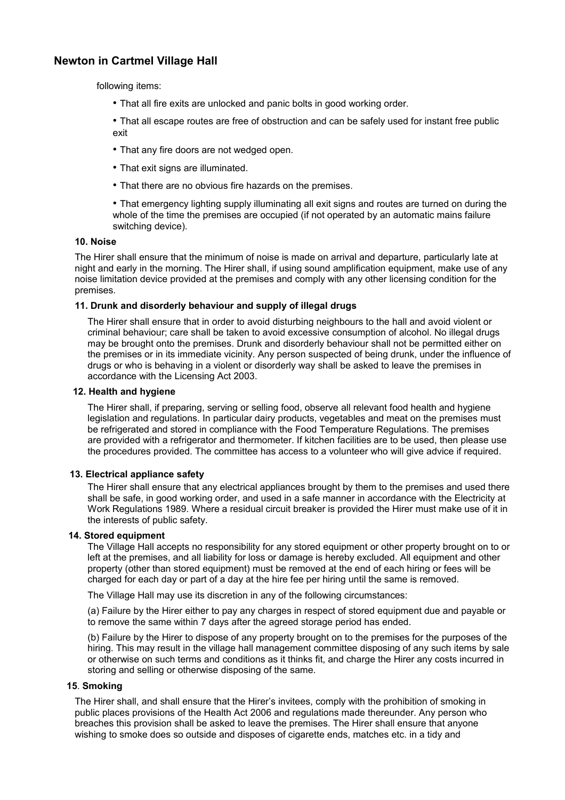following items:

• That all fire exits are unlocked and panic bolts in good working order.

• That all escape routes are free of obstruction and can be safely used for instant free public exit

- That any fire doors are not wedged open.
- That exit signs are illuminated.
- That there are no obvious fire hazards on the premises.

• That emergency lighting supply illuminating all exit signs and routes are turned on during the whole of the time the premises are occupied (if not operated by an automatic mains failure switching device).

## **10. Noise**

The Hirer shall ensure that the minimum of noise is made on arrival and departure, particularly late at night and early in the morning. The Hirer shall, if using sound amplification equipment, make use of any noise limitation device provided at the premises and comply with any other licensing condition for the premises.

## **11. Drunk and disorderly behaviour and supply of illegal drugs**

The Hirer shall ensure that in order to avoid disturbing neighbours to the hall and avoid violent or criminal behaviour; care shall be taken to avoid excessive consumption of alcohol. No illegal drugs may be brought onto the premises. Drunk and disorderly behaviour shall not be permitted either on the premises or in its immediate vicinity. Any person suspected of being drunk, under the influence of drugs or who is behaving in a violent or disorderly way shall be asked to leave the premises in accordance with the Licensing Act 2003.

#### **12. Health and hygiene**

The Hirer shall, if preparing, serving or selling food, observe all relevant food health and hygiene legislation and regulations. In particular dairy products, vegetables and meat on the premises must be refrigerated and stored in compliance with the Food Temperature Regulations. The premises are provided with a refrigerator and thermometer. If kitchen facilities are to be used, then please use the procedures provided. The committee has access to a volunteer who will give advice if required.

#### **13. Electrical appliance safety**

The Hirer shall ensure that any electrical appliances brought by them to the premises and used there shall be safe, in good working order, and used in a safe manner in accordance with the Electricity at Work Regulations 1989. Where a residual circuit breaker is provided the Hirer must make use of it in the interests of public safety.

#### **14. Stored equipment**

The Village Hall accepts no responsibility for any stored equipment or other property brought on to or left at the premises, and all liability for loss or damage is hereby excluded. All equipment and other property (other than stored equipment) must be removed at the end of each hiring or fees will be charged for each day or part of a day at the hire fee per hiring until the same is removed.

The Village Hall may use its discretion in any of the following circumstances:

(a) Failure by the Hirer either to pay any charges in respect of stored equipment due and payable or to remove the same within 7 days after the agreed storage period has ended.

(b) Failure by the Hirer to dispose of any property brought on to the premises for the purposes of the hiring. This may result in the village hall management committee disposing of any such items by sale or otherwise on such terms and conditions as it thinks fit, and charge the Hirer any costs incurred in storing and selling or otherwise disposing of the same.

#### **15**. **Smoking**

The Hirer shall, and shall ensure that the Hirer's invitees, comply with the prohibition of smoking in public places provisions of the Health Act 2006 and regulations made thereunder. Any person who breaches this provision shall be asked to leave the premises. The Hirer shall ensure that anyone wishing to smoke does so outside and disposes of cigarette ends, matches etc. in a tidy and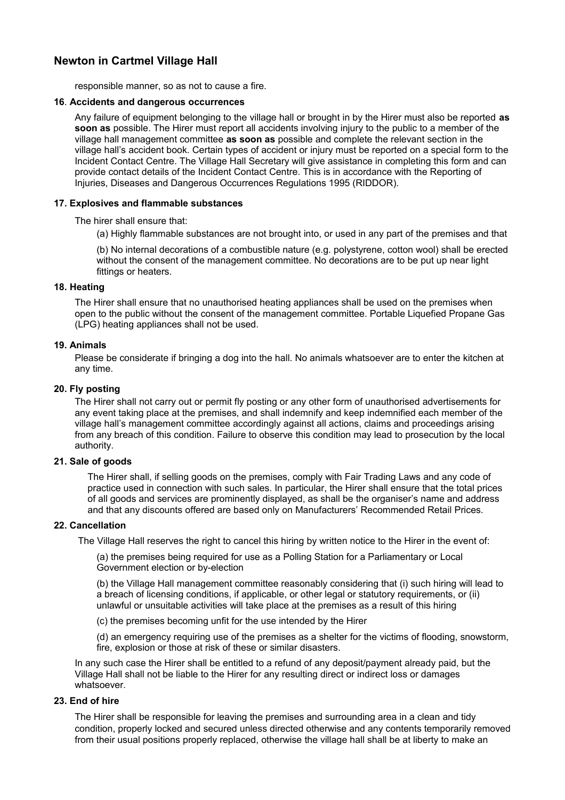responsible manner, so as not to cause a fire.

#### **16**. **Accidents and dangerous occurrences**

Any failure of equipment belonging to the village hall or brought in by the Hirer must also be reported **as soon as** possible. The Hirer must report all accidents involving injury to the public to a member of the village hall management committee **as soon as** possible and complete the relevant section in the village hall's accident book. Certain types of accident or injury must be reported on a special form to the Incident Contact Centre. The Village Hall Secretary will give assistance in completing this form and can provide contact details of the Incident Contact Centre. This is in accordance with the Reporting of Injuries, Diseases and Dangerous Occurrences Regulations 1995 (RIDDOR).

## **17. Explosives and flammable substances**

The hirer shall ensure that:

(a) Highly flammable substances are not brought into, or used in any part of the premises and that

(b) No internal decorations of a combustible nature (e.g. polystyrene, cotton wool) shall be erected without the consent of the management committee. No decorations are to be put up near light fittings or heaters.

#### **18. Heating**

The Hirer shall ensure that no unauthorised heating appliances shall be used on the premises when open to the public without the consent of the management committee. Portable Liquefied Propane Gas (LPG) heating appliances shall not be used.

## **19. Animals**

Please be considerate if bringing a dog into the hall. No animals whatsoever are to enter the kitchen at any time.

## **20. Fly posting**

The Hirer shall not carry out or permit fly posting or any other form of unauthorised advertisements for any event taking place at the premises, and shall indemnify and keep indemnified each member of the village hall's management committee accordingly against all actions, claims and proceedings arising from any breach of this condition. Failure to observe this condition may lead to prosecution by the local authority.

#### **21. Sale of goods**

The Hirer shall, if selling goods on the premises, comply with Fair Trading Laws and any code of practice used in connection with such sales. In particular, the Hirer shall ensure that the total prices of all goods and services are prominently displayed, as shall be the organiser's name and address and that any discounts offered are based only on Manufacturers' Recommended Retail Prices.

#### **22. Cancellation**

The Village Hall reserves the right to cancel this hiring by written notice to the Hirer in the event of:

(a) the premises being required for use as a Polling Station for a Parliamentary or Local Government election or by-election

(b) the Village Hall management committee reasonably considering that (i) such hiring will lead to a breach of licensing conditions, if applicable, or other legal or statutory requirements, or (ii) unlawful or unsuitable activities will take place at the premises as a result of this hiring

(c) the premises becoming unfit for the use intended by the Hirer

(d) an emergency requiring use of the premises as a shelter for the victims of flooding, snowstorm, fire, explosion or those at risk of these or similar disasters.

In any such case the Hirer shall be entitled to a refund of any deposit/payment already paid, but the Village Hall shall not be liable to the Hirer for any resulting direct or indirect loss or damages whatsoever.

# **23. End of hire**

The Hirer shall be responsible for leaving the premises and surrounding area in a clean and tidy condition, properly locked and secured unless directed otherwise and any contents temporarily removed from their usual positions properly replaced, otherwise the village hall shall be at liberty to make an